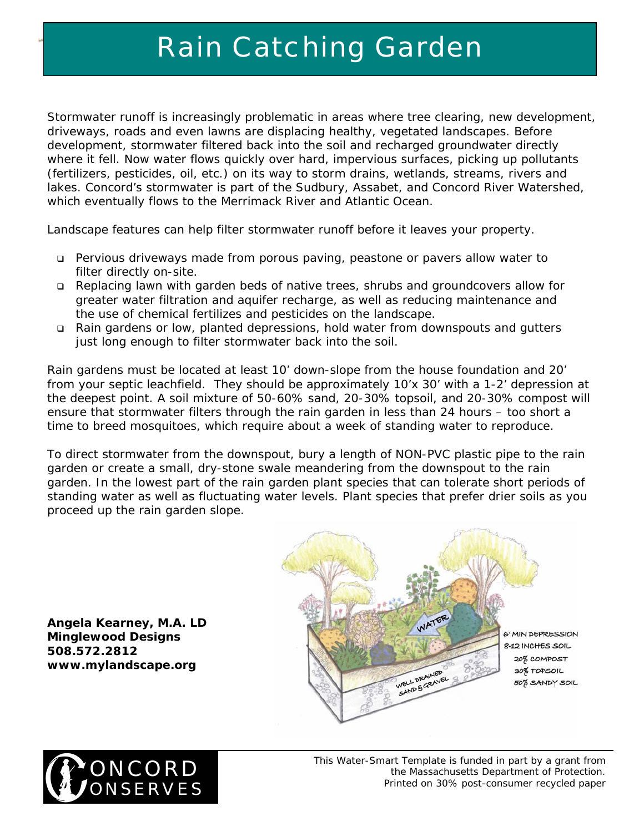Stormwater runoff is increasingly problematic in areas where tree clearing, new development, driveways, roads and even lawns are displacing healthy, vegetated landscapes. Before development, stormwater filtered back into the soil and recharged groundwater directly where it fell. Now water flows quickly over hard, impervious surfaces, picking up pollutants (fertilizers, pesticides, oil, etc.) on its way to storm drains, wetlands, streams, rivers and lakes. Concord's stormwater is part of the Sudbury, Assabet, and Concord River Watershed, which eventually flows to the Merrimack River and Atlantic Ocean.

Landscape features can help filter stormwater runoff before it leaves your property.

- Pervious driveways made from porous paving, peastone or pavers allow water to filter directly on-site.
- Replacing lawn with garden beds of native trees, shrubs and groundcovers allow for greater water filtration and aquifer recharge, as well as reducing maintenance and the use of chemical fertilizes and pesticides on the landscape.
- Rain gardens or low, planted depressions, hold water from downspouts and gutters just long enough to filter stormwater back into the soil.

Rain gardens must be located at least 10' down-slope from the house foundation and 20' from your septic leachfield. They should be approximately 10'x 30' with a 1-2' depression at the deepest point. A soil mixture of 50-60% sand, 20-30% topsoil, and 20-30% compost will ensure that stormwater filters through the rain garden in less than 24 hours – too short a time to breed mosquitoes, which require about a week of standing water to reproduce.

To direct stormwater from the downspout, bury a length of NON-PVC plastic pipe to the rain garden or create a small, dry-stone swale meandering from the downspout to the rain garden. In the lowest part of the rain garden plant species that can tolerate short periods of standing water as well as fluctuating water levels. Plant species that prefer drier soils as you proceed up the rain garden slope.

**Angela Kearney, M.A. LD Minglewood Designs 508.572.2812**  *www.mylandscape.org*





*This Water-Smart Template is funded in part by a grant from the Massachusetts Department of Protection. Printed on 30% post-consumer recycled paper*